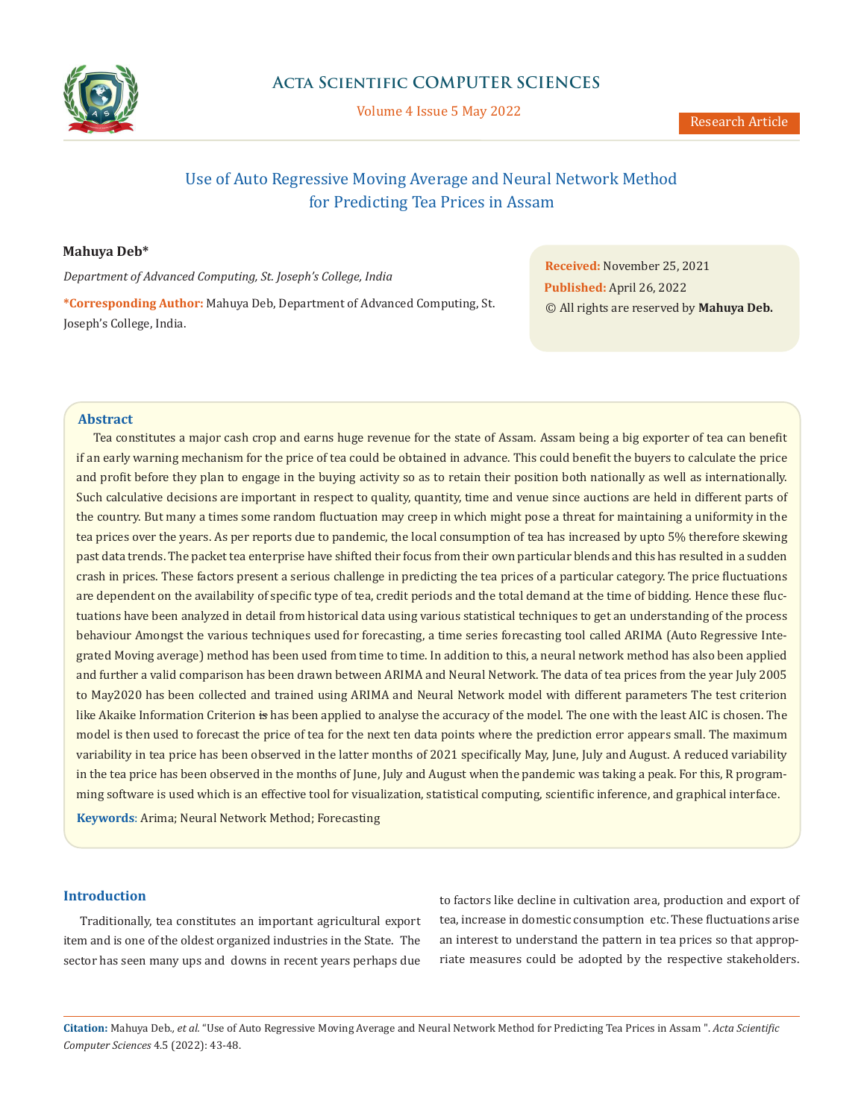

Volume 4 Issue 5 May 2022

# Use of Auto Regressive Moving Average and Neural Network Method for Predicting Tea Prices in Assam

# **Mahuya Deb\***

*Department of Advanced Computing, St. Joseph's College, India*

**\*Corresponding Author:** Mahuya Deb, Department of Advanced Computing, St. Joseph's College, India.

**Received:** November 25, 2021 **Published:** April 26, 2022 © All rights are reserved by **Mahuya Deb.**

### **Abstract**

Tea constitutes a major cash crop and earns huge revenue for the state of Assam. Assam being a big exporter of tea can benefit if an early warning mechanism for the price of tea could be obtained in advance. This could benefit the buyers to calculate the price and profit before they plan to engage in the buying activity so as to retain their position both nationally as well as internationally. Such calculative decisions are important in respect to quality, quantity, time and venue since auctions are held in different parts of the country. But many a times some random fluctuation may creep in which might pose a threat for maintaining a uniformity in the tea prices over the years. As per reports due to pandemic, the local consumption of tea has increased by upto 5% therefore skewing past data trends. The packet tea enterprise have shifted their focus from their own particular blends and this has resulted in a sudden crash in prices. These factors present a serious challenge in predicting the tea prices of a particular category. The price fluctuations are dependent on the availability of specific type of tea, credit periods and the total demand at the time of bidding. Hence these fluctuations have been analyzed in detail from historical data using various statistical techniques to get an understanding of the process behaviour Amongst the various techniques used for forecasting, a time series forecasting tool called ARIMA (Auto Regressive Integrated Moving average) method has been used from time to time. In addition to this, a neural network method has also been applied and further a valid comparison has been drawn between ARIMA and Neural Network. The data of tea prices from the year July 2005 to May2020 has been collected and trained using ARIMA and Neural Network model with different parameters The test criterion like Akaike Information Criterion is has been applied to analyse the accuracy of the model. The one with the least AIC is chosen. The model is then used to forecast the price of tea for the next ten data points where the prediction error appears small. The maximum variability in tea price has been observed in the latter months of 2021 specifically May, June, July and August. A reduced variability in the tea price has been observed in the months of June, July and August when the pandemic was taking a peak. For this, R programming software is used which is an effective tool for visualization, statistical computing, scientific inference, and graphical interface.

**Keywords**: Arima; Neural Network Method; Forecasting

# **Introduction**

Traditionally, tea constitutes an important agricultural export item and is one of the oldest organized industries in the State. The sector has seen many ups and downs in recent years perhaps due to factors like decline in cultivation area, production and export of tea, increase in domestic consumption etc. These fluctuations arise an interest to understand the pattern in tea prices so that appropriate measures could be adopted by the respective stakeholders.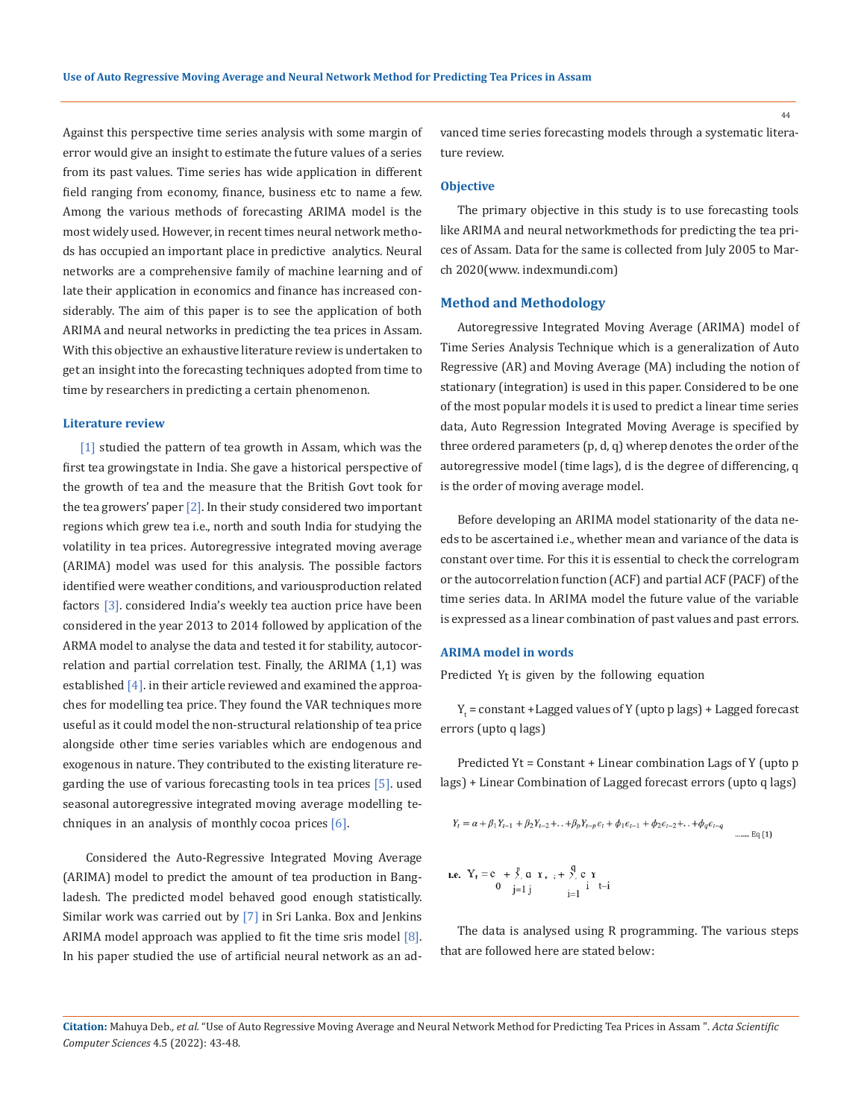Against this perspective time series analysis with some margin of error would give an insight to estimate the future values of a series from its past values. Time series has wide application in different field ranging from economy, finance, business etc to name a few. Among the various methods of forecasting ARIMA model is the most widely used. However, in recent times neural network methods has occupied an important place in predictive analytics. Neural networks are a comprehensive family of machine learning and of late their application in economics and finance has increased considerably. The aim of this paper is to see the application of both ARIMA and neural networks in predicting the tea prices in Assam. With this objective an exhaustive literature review is undertaken to get an insight into the forecasting techniques adopted from time to time by researchers in predicting a certain phenomenon.

#### **Literature review**

[1] studied the pattern of tea growth in Assam, which was the first tea growing state in India. She gave a historical perspective of the growth of tea and the measure that the British Govt took for the tea growers' paper  $\lceil 2 \rceil$ . In their study considered two important regions which grew tea i.e., north and south India for studying the volatility in tea prices. Autoregressive integrated moving average (ARIMA) model was used for this analysis. The possible factors identified were weather conditions, and variousproduction related factors [3]. considered India's weekly tea auction price have been considered in the year 2013 to 2014 followed by application of the ARMA model to analyse the data and tested it for stability, autocorrelation and partial correlation test. Finally, the ARIMA (1,1) was established  $[4]$ . in their article reviewed and examined the approaches for modelling tea price. They found the VAR techniques more useful as it could model the non-structural relationship of tea price alongside other time series variables which are endogenous and exogenous in nature. They contributed to the existing literature regarding the use of various forecasting tools in tea prices [5]. used seasonal autoregressive integrated moving average modelling techniques in an analysis of monthly cocoa prices [6].

 Considered the Auto-Regressive Integrated Moving Average (ARIMA) model to predict the amount of tea production in Bangladesh. The predicted model behaved good enough statistically. Similar work was carried out by [7] in Sri Lanka. Box and Jenkins ARIMA model approach was applied to fit the time sris model  $[8]$ . In his paper studied the use of artificial neural network as an advanced time series forecasting models through a systematic literature review.

### **Objective**

The primary objective in this study is to use forecasting tools like ARIMA and neural network methods for predicting the tea prices of Assam. Data for the same is collected from July 2005 to March 2020(www. indexmundi.com)

#### **Method and Methodology**

Autoregressive Integrated Moving Average (ARIMA) model of Time Series Analysis Technique which is a generalization of Auto Regressive (AR) and Moving Average (MA) including the notion of stationary (integration) is used in this paper. Considered to be one of the most popular models it is used to predict a linear time series data, Auto Regression Integrated Moving Average is specified by three ordered parameters  $(p, d, q)$  wherep denotes the order of the autoregressive model (time lags), d is the degree of differencing, q is the order of moving average model.

Before developing an ARIMA model stationarity of the data needs to be ascertained i.e., whether mean and variance of the data is constant over time. For this it is essential to check the correlogram or the autocorrelation function (ACF) and partial ACF (PACF) of the time series data. In ARIMA model the future value of the variable is expressed as a linear combination of past values and past errors.

### **ARIMA model in words**

Predicted Yt is given by the following equation

 $Y_t$  = constant +Lagged values of Y (upto p lags) + Lagged forecast errors (upto q lags)

Predicted Yt = Constant + Linear combination Lags of Y (upto p lags) + Linear Combination of Lagged forecast errors (upto q lags)

$$
Y_{t} = \alpha + \beta_{1} Y_{t-1} + \beta_{2} Y_{t-2} + \ldots + \beta_{p} Y_{t-p} \epsilon_{t} + \phi_{1} \epsilon_{t-1} + \phi_{2} \epsilon_{t-2} + \ldots + \phi_{q} \epsilon_{t-q}
$$
  
\n
$$
\ldots \ldots \ldots \text{Eq (1)}
$$

**i.e.** 
$$
Y_t = c + \hat{y}
$$
,  $a \, Y_{t-1} + \hat{y}$ ,  $c \, Y_{t-1} = 0$    
  $j=1 \, j$   $j = 1$ 

The data is analysed using R programming. The various steps that are followed here are stated below:

44

**Citation:** Mahuya Deb*., et al.* "Use of Auto Regressive Moving Average and Neural Network Method for Predicting Tea Prices in Assam ". *Acta Scientific Computer Sciences* 4.5 (2022): 43-48.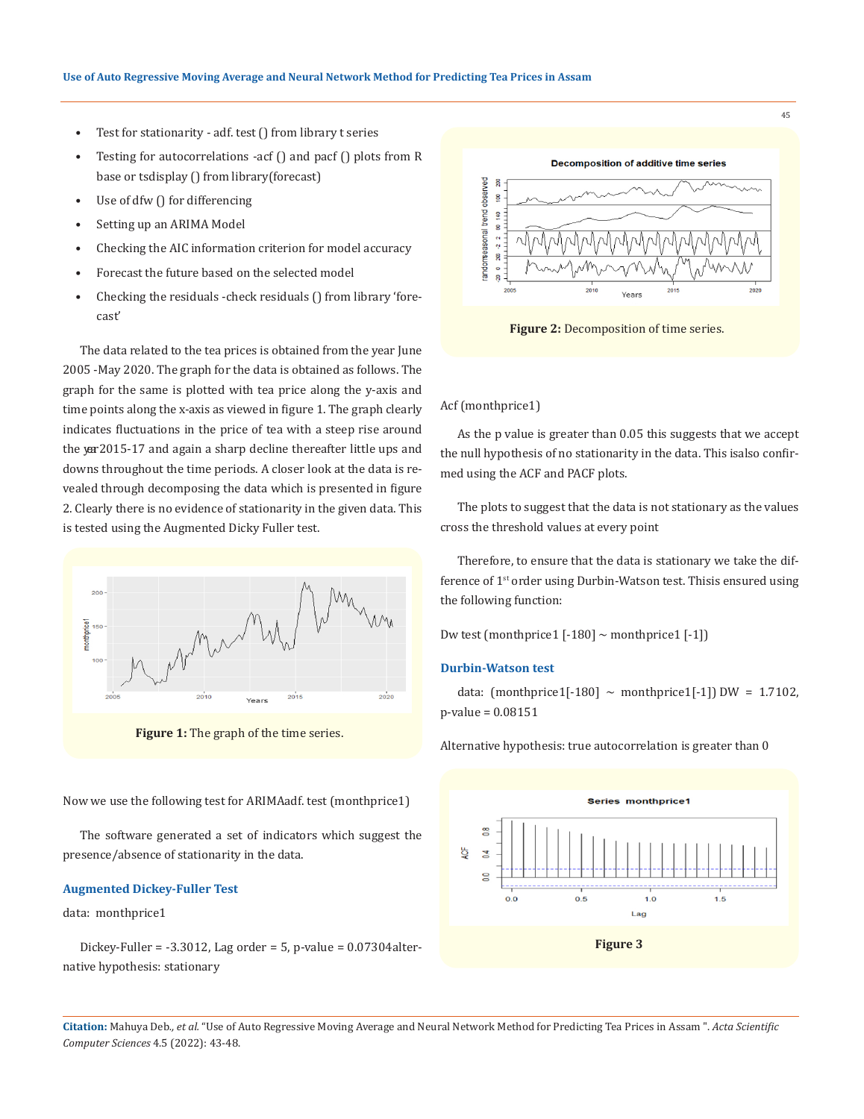- Test for stationarity adf. test () from library t series
- Testing for autocorrelations -acf () and pacf () plots from R base or tsdisplay () from library(forecast)
- Use of dfw () for differencing
- Setting up an ARIMA Model
- Checking the AIC information criterion for model accuracy
- Forecast the future based on the selected model
- Checking the residuals -check residuals () from library 'forecast'

The data related to the tea prices is obtained from the year June 2005 -May 2020. The graph for the data is obtained as follows. The graph for the same is plotted with tea price along the y-axis and time points along the x-axis as viewed in figure 1. The graph clearly indicates fluctuations in the price of tea with a steep rise around the yer 2015-17 and again a sharp decline thereafter little ups and downs throughout the time periods. A closer look at the data is revealed through decomposing the data which is presented in figure 2. Clearly there is no evidence of stationarity in the given data. This is tested using the Augmented Dicky Fuller test.



**Figure 1:** The graph of the time series.

Now we use the following test for ARIMAadf. test (monthprice1)

The software generated a set of indicators which suggest the presence/absence of stationarity in the data.

### **Augmented Dickey-Fuller Test**

#### data: monthprice1

Dickey-Fuller =  $-3.3012$ , Lag order = 5, p-value =  $0.07304$ alternative hypothesis: stationary



**Figure 2:** Decomposition of time series.

#### Acf (monthprice1)

As the p value is greater than 0.05 this suggests that we accept the null hypothesis of no stationarity in the data. This is also confirmed using the ACF and PACF plots.

The plots to suggest that the data is not stationary as the values cross the threshold values at every point

Therefore, to ensure that the data is stationary we take the difference of 1<sup>st</sup> order using Durbin-Watson test. Thisis ensured using the following function:

Dw test (monthprice1  $[-180]$  ~ monthprice1  $[-1]$ )

# **Durbin-Watson test**

data: (monthprice1[-180]  $\sim$  monthprice1[-1]) DW = 1.7102, p-value = 0.08151

Alternative hypothesis: true autocorrelation is greater than 0



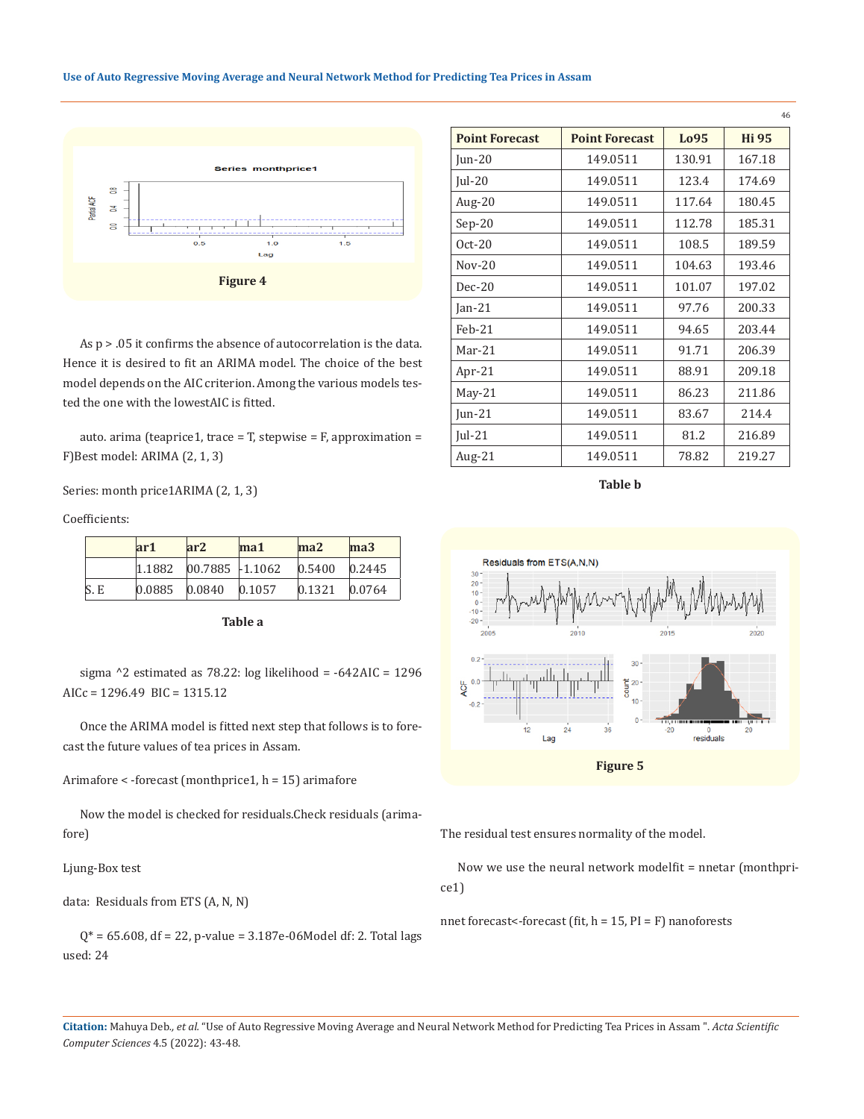#### **Use of Auto Regressive Moving Average and Neural Network Method for Predicting Tea Prices in Assam**



As p > .05 it confirms the absence of autocorrelation is the data. Hence it is desired to fit an ARIMA model. The choice of the best model depends on the AIC criterion. Among the various models tested the one with the lowestAIC is fitted.

auto. arima (teaprice1, trace = T, stepwise = F, approximation = F) Best model: ARIMA (2, 1, 3)

Series: month price1ARIMA (2, 1, 3)

Coefficients:

|     | ar1 | ar2                             | $ma1$ | ma2               | ma3    |
|-----|-----|---------------------------------|-------|-------------------|--------|
|     |     | $1.1882$ 00.7885 -1.1062        |       | $0.5400$ $0.2445$ |        |
| S.E |     | $ 0.0885 \t  0.0840 \t  0.1057$ |       | 0.1321            | 0.0764 |

**Table a**

sigma ^2 estimated as 78.22: log likelihood = -642 AIC = 1296 AICc = 1296.49 BIC = 1315.12

Once the ARIMA model is fitted next step that follows is to forecast the future values of tea prices in Assam.

Arimafore < -forecast (monthprice1, h = 15) arimafore

Now the model is checked for residuals. Check residuals (arimafore)

Ljung-Box test

data: Residuals from ETS (A, N, N)

 $Q^*$  = 65.608, df = 22, p-value = 3.187e-06Model df: 2. Total lags used: 24

|                       |                       |        | 46           |
|-----------------------|-----------------------|--------|--------------|
| <b>Point Forecast</b> | <b>Point Forecast</b> | Lo95   | <b>Hi 95</b> |
| Jun-20                | 149.0511              | 130.91 | 167.18       |
| $ ul-20$              | 149.0511              | 123.4  | 174.69       |
| Aug- $20$             | 149.0511              | 117.64 | 180.45       |
| $Sep-20$              | 149.0511              | 112.78 | 185.31       |
| $Oct-20$              | 149.0511              | 108.5  | 189.59       |
| $Nov-20$              | 149.0511              | 104.63 | 193.46       |
| $Dec-20$              | 149.0511              | 101.07 | 197.02       |
| Jan- $21$             | 149.0511              | 97.76  | 200.33       |
| $Feh-21$              | 149.0511              | 94.65  | 203.44       |
| $Mar-21$              | 149.0511              | 91.71  | 206.39       |
| Apr-21                | 149.0511              | 88.91  | 209.18       |
| $May-21$              | 149.0511              | 86.23  | 211.86       |
| Jun- $21$             | 149.0511              | 83.67  | 214.4        |
| Jul-21                | 149.0511              | 81.2   | 216.89       |
| Aug- $21$             | 149.0511              | 78.82  | 219.27       |

**Table b**



The residual test ensures normality of the model.

Now we use the neural network model fit = nnetar (monthprice1)

nnet forecast<-forecast (fit,  $h = 15$ ,  $PI = F$ ) nanoforests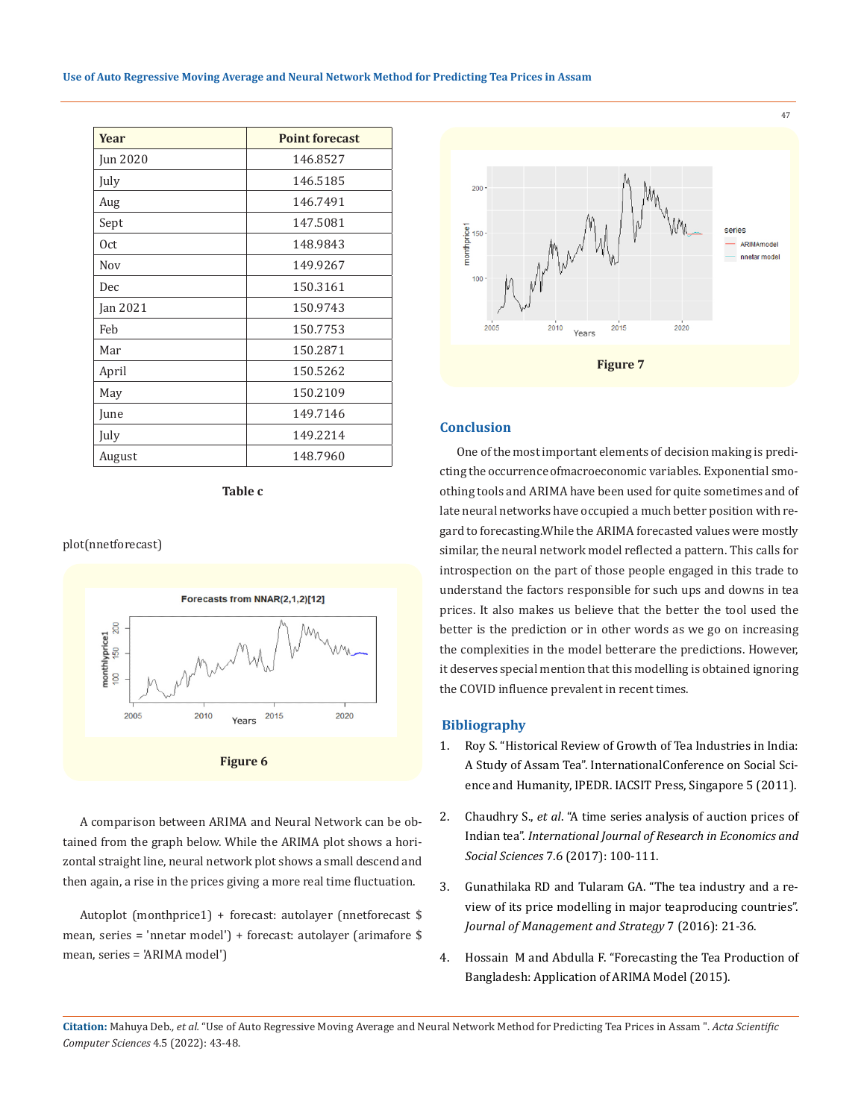| <b>Year</b> | <b>Point forecast</b> |
|-------------|-----------------------|
| Jun 2020    | 146.8527              |
| July        | 146.5185              |
| Aug         | 146.7491              |
| Sept        | 147.5081              |
| 0ct         | 148.9843              |
| Nov         | 149.9267              |
| Dec         | 150.3161              |
| Jan 2021    | 150.9743              |
| Feb         | 150.7753              |
| Mar         | 150.2871              |
| April       | 150.5262              |
| May         | 150.2109              |
| June        | 149.7146              |
| July        | 149.2214              |
| August      | 148.7960              |

**Table c**

#### plot(nnetforecast)





A comparison between ARIMA and Neural Network can be obtained from the graph below. While the ARIMA plot shows a horizontal straight line, neural network plot shows a small descend and then again, a rise in the prices giving a more real time fluctuation.

Autoplot (monthprice1) + forecast: autolayer (nnetforecast \$ mean, series = 'nnetar model') + foreca st: autolayer (arimafore \$ mean, series = 'ARIMA model')



# **Conclusion**

One of the most important elements of decision making is predicting the occurrence of macroeconomic variables. Exponential smoothing tools and ARIMA have been used for quite sometimes and of late neural networks have occupied a much better position with regard to forecasting. While the ARIMA forecasted values were mostly similar, the neural network model reflected a pattern. This calls for introspection on the part of those people engaged in this trade to understand the factors responsible for such ups and downs in tea prices. It also makes us believe that the better the tool used the better is the prediction or in other words as we go on increasing the complexities in the model betterare the predictions. However, it deserves special mention that this modelling is obtained ignoring the COVID influence prevalent in recent times.

### **Bibliography**

- 1. [Roy S. "Historical Review of Growth of Tea Industries in India:](http://www.ipedr.com/vol5/no1/35-H00082.pdf) A Study of Assam Tea". [InternationalConference](http://www.ipedr.com/vol5/no1/35-H00082.pdf) on Social Science and Humanity, IPEDR. IACSIT Press, [Singapore 5 \(2011\).](http://www.ipedr.com/vol5/no1/35-H00082.pdf)
- 2. [Chaudhry](https://www.researchgate.net/publication/318362722_A_TIME_SERIES_ANALYSIS_OF_AUCTION_PRICES_OF_INDIAN_TEA) S., *et al*. "A time series analysis of auction prices of Indian tea". *[International](https://www.researchgate.net/publication/318362722_A_TIME_SERIES_ANALYSIS_OF_AUCTION_PRICES_OF_INDIAN_TEA) Journal of Research in Economics and Social Sciences* [7.6 \(2017\): 100-111.](https://www.researchgate.net/publication/318362722_A_TIME_SERIES_ANALYSIS_OF_AUCTION_PRICES_OF_INDIAN_TEA)
- 3. [Gunathilaka RD and Tularam GA. "The tea industry and a re](https://www.researchgate.net/publication/292071605_The_Tea_Industry_and_a_Review_of_Its_Price_Modelling_in_Major_Tea_Producing_Countries)[view of its price modelling in major teaproducing countries".](https://www.researchgate.net/publication/292071605_The_Tea_Industry_and_a_Review_of_Its_Price_Modelling_in_Major_Tea_Producing_Countries) *[Journal of Management and Strategy](https://www.researchgate.net/publication/292071605_The_Tea_Industry_and_a_Review_of_Its_Price_Modelling_in_Major_Tea_Producing_Countries)* 7 (2016): 21-36.
- 4. Hossain M and Abdulla F. ["Forecasting the](https://www.researchgate.net/publication/283495375_Forecasting_the_Tea_Production_of_Bangladesh_Application_of_ARIMA_Model) Tea Production of Bangladesh: Application of ARIMA [Model \(2015\).](https://www.researchgate.net/publication/283495375_Forecasting_the_Tea_Production_of_Bangladesh_Application_of_ARIMA_Model)